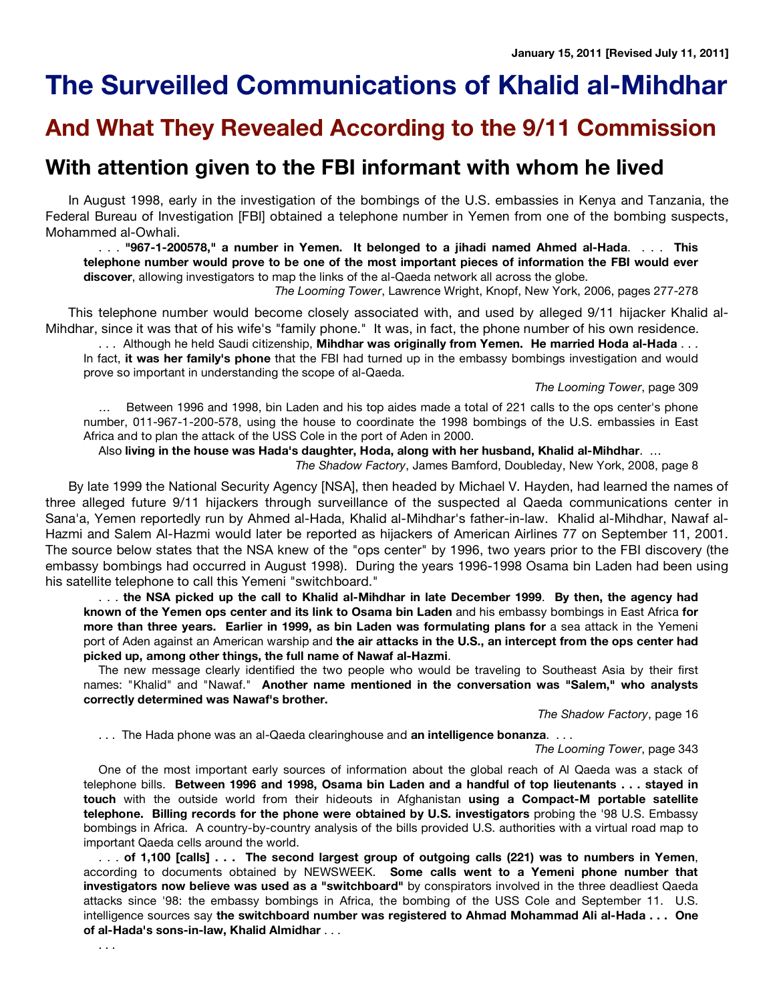# **The Surveilled Communications of Khalid al-Mihdhar**

# **And What They Revealed According to the 9/11 Commission**

# **With attention given to the FBI informant with whom he lived**

In August 1998, early in the investigation of the bombings of the U.S. embassies in Kenya and Tanzania, the Federal Bureau of Investigation [FBI] obtained a telephone number in Yemen from one of the bombing suspects, Mohammed al-Owhali.

. . . **"967-1-200578," a number in Yemen. It belonged to a jihadi named Ahmed al-Hada**. . . . **This** telephone number would prove to be one of the most important pieces of information the FBI would ever **discover**, allowing investigators to map the links of the al-Qaeda network all across the globe.

*The Looming Tower*, Lawrence Wright, Knopf, New York, 2006, pages 277-278

This telephone number would become closely associated with, and used by alleged 9/11 hijacker Khalid al-Mihdhar, since it was that of his wife's "family phone." It was, in fact, the phone number of his own residence.

. . . Although he held Saudi citizenship, **Mihdhar was originally from Yemen. He married Hoda al-Hada** . . . In fact, **it was her family's phone** that the FBI had turned up in the embassy bombings investigation and would prove so important in understanding the scope of al-Qaeda.

*The Looming Tower*, page 309

… Between 1996 and 1998, bin Laden and his top aides made a total of 221 calls to the ops center's phone number, 011-967-1-200-578, using the house to coordinate the 1998 bombings of the U.S. embassies in East Africa and to plan the attack of the USS Cole in the port of Aden in 2000.

Also **living in the house was Hada's daughter, Hoda, along with her husband, Khalid al-Mihdhar**. …

*The Shadow Factory*, James Bamford, Doubleday, New York, 2008, page 8

By late 1999 the National Security Agency [NSA], then headed by Michael V. Hayden, had learned the names of three alleged future 9/11 hijackers through surveillance of the suspected al Qaeda communications center in Sana'a, Yemen reportedly run by Ahmed al-Hada, Khalid al-Mihdhar's father-in-law. Khalid al-Mihdhar, Nawaf al-Hazmi and Salem Al-Hazmi would later be reported as hijackers of American Airlines 77 on September 11, 2001. The source below states that the NSA knew of the "ops center" by 1996, two years prior to the FBI discovery (the embassy bombings had occurred in August 1998). During the years 1996-1998 Osama bin Laden had been using his satellite telephone to call this Yemeni "switchboard."

... the NSA picked up the call to Khalid al-Mihdhar in late December 1999. By then, the agency had **known of the Yemen ops center and its link to Osama bin Laden** and his embassy bombings in East Africa **for more than three years. Earlier in 1999, as bin Laden was formulating plans for** a sea attack in the Yemeni port of Aden against an American warship and **the air attacks in the U.S., an intercept from the ops center had picked up, among other things, the full name of Nawaf al-Hazmi**.

The new message clearly identified the two people who would be traveling to Southeast Asia by their first names: "Khalid" and "Nawaf." **Another name mentioned in the conversation was "Salem," who analysts correctly determined was Nawaf's brother.**

*The Shadow Factory*, page 16

. . . The Hada phone was an al-Qaeda clearinghouse and **an intelligence bonanza**. . . .

*The Looming Tower*, page 343

One of the most important early sources of information about the global reach of Al Qaeda was a stack of telephone bills. Between 1996 and 1998, Osama bin Laden and a handful of top lieutenants . . . stayed in **touch** with the outside world from their hideouts in Afghanistan **using a Compact-M portable satellite telephone. Billing records for the phone were obtained by U.S. investigators** probing the '98 U.S. Embassy bombings in Africa. A country-by-country analysis of the bills provided U.S. authorities with a virtual road map to important Qaeda cells around the world.

... of 1,100 [calls] ... The second largest group of outgoing calls (221) was to numbers in Yemen, according to documents obtained by NEWSWEEK. **Some calls went to a Yemeni phone number that investigators now believe was used as a "switchboard"** by conspirators involved in the three deadliest Qaeda attacks since '98: the embassy bombings in Africa, the bombing of the USS Cole and September 11. U.S. intelligence sources say **the switchboard number was registered to Ahmad Mohammad Ali al-Hada . . . One of al-Hada's sons-in-law, Khalid Almidhar** . . .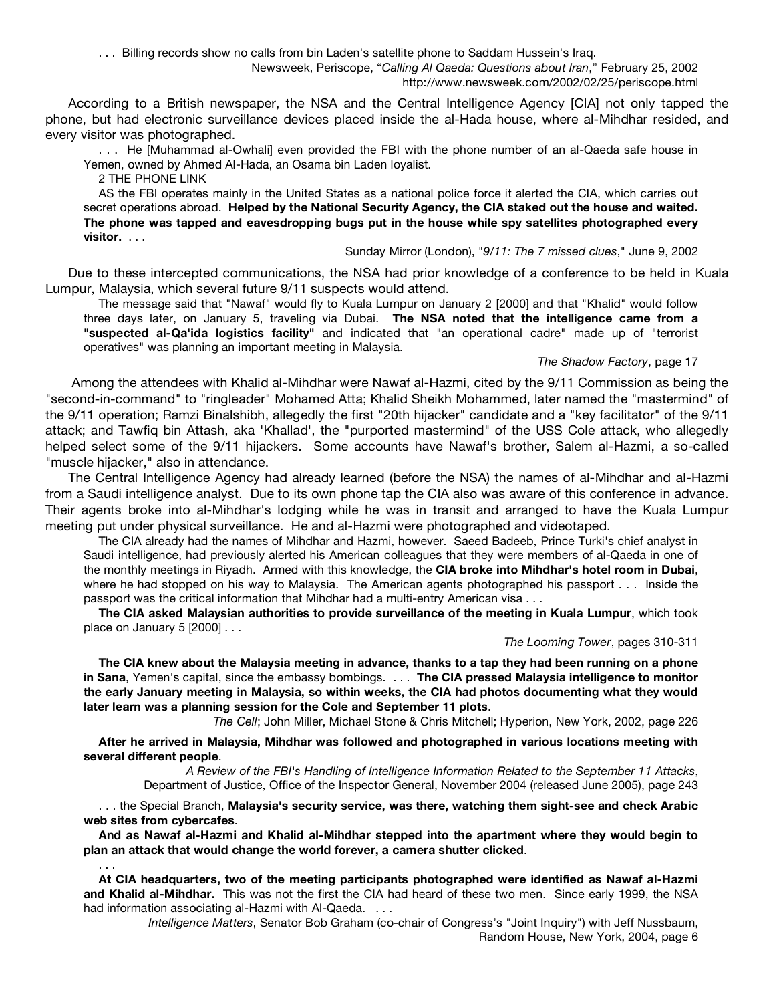. . . Billing records show no calls from bin Laden's satellite phone to Saddam Hussein's Iraq. Newsweek, Periscope, "*Calling Al Qaeda: Questions about Iran*," February 25, 2002 http://www.newsweek.com/2002/02/25/periscope.html

According to a British newspaper, the NSA and the Central Intelligence Agency [CIA] not only tapped the phone, but had electronic surveillance devices placed inside the al-Hada house, where al-Mihdhar resided, and every visitor was photographed.

. . . He [Muhammad al-Owhali] even provided the FBI with the phone number of an al-Qaeda safe house in Yemen, owned by Ahmed Al-Hada, an Osama bin Laden loyalist.

2 THE PHONE LINK

AS the FBI operates mainly in the United States as a national police force it alerted the CIA, which carries out secret operations abroad. **Helped by the National Security Agency, the CIA staked out the house and waited. The phone was tapped and eavesdropping bugs put in the house while spy satellites photographed every visitor.** . . .

### Sunday Mirror (London), "*9/11: The 7 missed clues*," June 9, 2002

Due to these intercepted communications, the NSA had prior knowledge of a conference to be held in Kuala Lumpur, Malaysia, which several future 9/11 suspects would attend.

The message said that "Nawaf" would fly to Kuala Lumpur on January 2 [2000] and that "Khalid" would follow three days later, on January 5, traveling via Dubai. **The NSA noted that the intelligence came from a "suspected al-Qa'ida logistics facility"** and indicated that "an operational cadre" made up of "terrorist operatives" was planning an important meeting in Malaysia.

## *The Shadow Factory*, page 17

Among the attendees with Khalid al-Mihdhar were Nawaf al-Hazmi, cited by the 9/11 Commission as being the "second-in-command" to "ringleader" Mohamed Atta; Khalid Sheikh Mohammed, later named the "mastermind" of the 9/11 operation; Ramzi Binalshibh, allegedly the first "20th hijacker" candidate and a "key facilitator" of the 9/11 attack; and Tawfiq bin Attash, aka 'Khallad', the "purported mastermind" of the USS Cole attack, who allegedly helped select some of the 9/11 hijackers. Some accounts have Nawaf's brother, Salem al-Hazmi, a so-called "muscle hijacker," also in attendance.

The Central Intelligence Agency had already learned (before the NSA) the names of al-Mihdhar and al-Hazmi from a Saudi intelligence analyst. Due to its own phone tap the CIA also was aware of this conference in advance. Their agents broke into al-Mihdhar's lodging while he was in transit and arranged to have the Kuala Lumpur meeting put under physical surveillance. He and al-Hazmi were photographed and videotaped.

The CIA already had the names of Mihdhar and Hazmi, however. Saeed Badeeb, Prince Turki's chief analyst in Saudi intelligence, had previously alerted his American colleagues that they were members of al-Qaeda in one of the monthly meetings in Riyadh. Armed with this knowledge, the **CIA broke into Mihdhar's hotel room in Dubai**, where he had stopped on his way to Malaysia. The American agents photographed his passport . . . Inside the passport was the critical information that Mihdhar had a multi-entry American visa . . .

**The CIA asked Malaysian authorities to provide surveillance of the meeting in Kuala Lumpur**, which took place on January 5 [2000] . . .

### *The Looming Tower*, pages 310-311

The CIA knew about the Malaysia meeting in advance, thanks to a tap they had been running on a phone **in Sana**, Yemen's capital, since the embassy bombings. . . . **The CIA pressed Malaysia intelligence to monitor the early January meeting in Malaysia, so within weeks, the CIA had photos documenting what they would later learn was a planning session for the Cole and September 11 plots**.

*The Cell*; John Miller, Michael Stone & Chris Mitchell; Hyperion, New York, 2002, page 226

**After he arrived in Malaysia, Mihdhar was followed and photographed in various locations meeting with several different people**.

*A Review of the FBI's Handling of Intelligence Information Related to the September 11 Attacks*, Department of Justice, Office of the Inspector General, November 2004 (released June 2005), page 243

. . . the Special Branch, **Malaysia's security service, was there, watching them sight-see and check Arabic web sites from cybercafes**.

**And as Nawaf al-Hazmi and Khalid al-Mihdhar stepped into the apartment where they would begin to plan an attack that would change the world forever, a camera shutter clicked**.

. . . **At CIA headquarters, two of the meeting participants photographed were identified as Nawaf al-Hazmi and Khalid al-Mihdhar.** This was not the first the CIA had heard of these two men. Since early 1999, the NSA had information associating al-Hazmi with Al-Qaeda. . . .

*Intelligence Matters*, Senator Bob Graham (co-chair of Congress's "Joint Inquiry") with Jeff Nussbaum, Random House, New York, 2004, page 6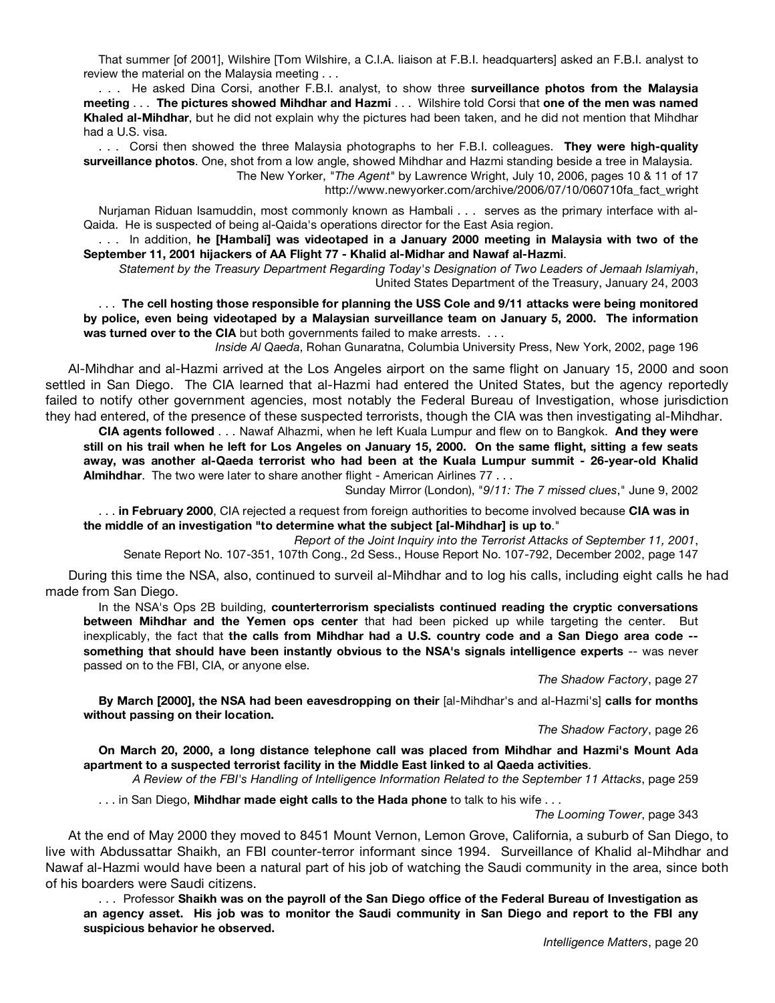That summer [of 2001], Wilshire [Tom Wilshire, a C.I.A. liaison at F.B.I. headquarters] asked an F.B.I. analyst to review the material on the Malaysia meeting . . .

. . . He asked Dina Corsi, another F.B.I. analyst, to show three **surveillance photos from the Malaysia meeting** . . . **The pictures showed Mihdhar and Hazmi** . . . Wilshire told Corsi that **one of the men was named Khaled al-Mihdhar**, but he did not explain why the pictures had been taken, and he did not mention that Mihdhar had a U.S. visa.

. . . Corsi then showed the three Malaysia photographs to her F.B.I. colleagues. **They were high-quality surveillance photos**. One, shot from a low angle, showed Mihdhar and Hazmi standing beside a tree in Malaysia. The New Yorker, *"The Agent"* by Lawrence Wright, July 10, 2006, pages 10 & 11 of 17 http://www.newyorker.com/archive/2006/07/10/060710fa\_fact\_wright

Nurjaman Riduan Isamuddin, most commonly known as Hambali . . . serves as the primary interface with al-Qaida. He is suspected of being al-Qaida's operations director for the East Asia region.

. . . In addition, **he [Hambali] was videotaped in a January 2000 meeting in Malaysia with two of the September 11, 2001 hijackers of AA Flight 77 - Khalid al-Midhar and Nawaf al-Hazmi**.

*Statement by the Treasury Department Regarding Today's Designation of Two Leaders of Jemaah Islamiyah*, United States Department of the Treasury, January 24, 2003

. . . **The cell hosting those responsible for planning the USS Cole and 9/11 attacks were being monitored by police, even being videotaped by a Malaysian surveillance team on January 5, 2000. The information was turned over to the CIA** but both governments failed to make arrests. . . .

*Inside Al Qaeda*, Rohan Gunaratna, Columbia University Press, New York, 2002, page 196

Al-Mihdhar and al-Hazmi arrived at the Los Angeles airport on the same flight on January 15, 2000 and soon settled in San Diego. The CIA learned that al-Hazmi had entered the United States, but the agency reportedly failed to notify other government agencies, most notably the Federal Bureau of Investigation, whose jurisdiction they had entered, of the presence of these suspected terrorists, though the CIA was then investigating al-Mihdhar.

**CIA agents followed** . . . Nawaf Alhazmi, when he left Kuala Lumpur and flew on to Bangkok. **And they were** still on his trail when he left for Los Angeles on January 15, 2000. On the same flight, sitting a few seats **away, was another al-Qaeda terrorist who had been at the Kuala Lumpur summit - 26-year-old Khalid Almihdhar**. The two were later to share another flight - American Airlines 77 . . .

Sunday Mirror (London), "*9/11: The 7 missed clues*," June 9, 2002

. . . **in February 2000**, CIA rejected a request from foreign authorities to become involved because **CIA was in the middle of an investigation "to determine what the subject [al-Mihdhar] is up to**."

*Report of the Joint Inquiry into the Terrorist Attacks of September 11, 2001*, Senate Report No. 107-351, 107th Cong., 2d Sess., House Report No. 107-792, December 2002, page 147

During this time the NSA, also, continued to surveil al-Mihdhar and to log his calls, including eight calls he had made from San Diego.

In the NSA's Ops 2B building, **counterterrorism specialists continued reading the cryptic conversations between Mihdhar and the Yemen ops center** that had been picked up while targeting the center. But inexplicably, the fact that **the calls from Mihdhar had a U.S. country code and a San Diego area code - something that should have been instantly obvious to the NSA's signals intelligence experts** -- was never passed on to the FBI, CIA, or anyone else.

*The Shadow Factory*, page 27

**By March [2000], the NSA had been eavesdropping on their** [al-Mihdhar's and al-Hazmi's] **calls for months without passing on their location.**

*The Shadow Factory*, page 26

**On March 20, 2000, a long distance telephone call was placed from Mihdhar and Hazmi's Mount Ada apartment to a suspected terrorist facility in the Middle East linked to al Qaeda activities**.

*A Review of the FBI's Handling of Intelligence Information Related to the September 11 Attacks*, page 259

. . . in San Diego, **Mihdhar made eight calls to the Hada phone** to talk to his wife . . .

*The Looming Tower*, page 343

At the end of May 2000 they moved to 8451 Mount Vernon, Lemon Grove, California, a suburb of San Diego, to live with Abdussattar Shaikh, an FBI counter-terror informant since 1994. Surveillance of Khalid al-Mihdhar and Nawaf al-Hazmi would have been a natural part of his job of watching the Saudi community in the area, since both of his boarders were Saudi citizens.

... Professor Shaikh was on the payroll of the San Diego office of the Federal Bureau of Investigation as an agency asset. His job was to monitor the Saudi community in San Diego and report to the FBI any **suspicious behavior he observed.**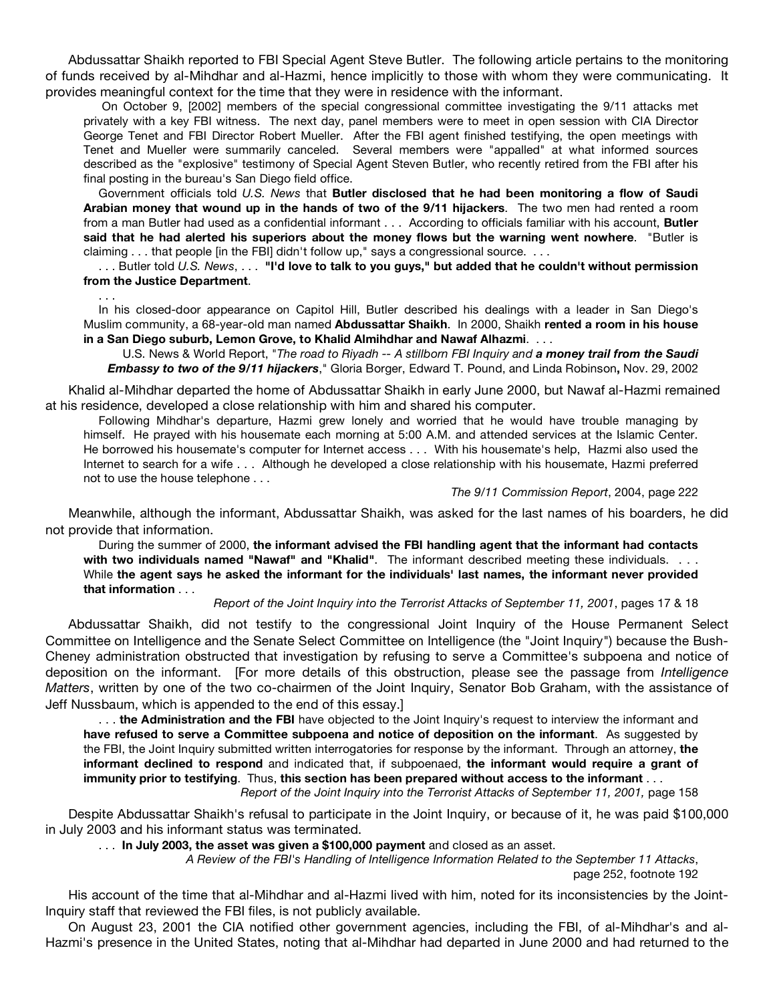Abdussattar Shaikh reported to FBI Special Agent Steve Butler. The following article pertains to the monitoring of funds received by al-Mihdhar and al-Hazmi, hence implicitly to those with whom they were communicating. It provides meaningful context for the time that they were in residence with the informant.

On October 9, [2002] members of the special congressional committee investigating the 9/11 attacks met privately with a key FBI witness. The next day, panel members were to meet in open session with CIA Director George Tenet and FBI Director Robert Mueller. After the FBI agent finished testifying, the open meetings with Tenet and Mueller were summarily canceled. Several members were "appalled" at what informed sources described as the "explosive" testimony of Special Agent Steven Butler, who recently retired from the FBI after his final posting in the bureau's San Diego field office.

Government officials told *U.S. News* that **Butler disclosed that he had been monitoring a flow of Saudi Arabian money that wound up in the hands of two of the 9/11 hijackers**. The two men had rented a room from a man Butler had used as a confidential informant . . . According to officials familiar with his account, **Butler said that he had alerted his superiors about the money flows but the warning went nowhere**. "Butler is claiming . . . that people [in the FBI] didn't follow up," says a congressional source. . . .

. . . Butler told *U.S. News*, . . . **"I'd love to talk to you guys," but added that he couldn't without permission from the Justice Department**.

. . .

In his closed-door appearance on Capitol Hill, Butler described his dealings with a leader in San Diego's Muslim community, a 68-year-old man named **Abdussattar Shaikh**. In 2000, Shaikh **rented a room in his house in a San Diego suburb, Lemon Grove, to Khalid Almihdhar and Nawaf Alhazmi**. . . .

U.S. News & World Report, "*The road to Riyadh -- A stillborn FBI Inquiry and a money trail from the Saudi Embassy to two of the 9/11 hijackers*," Gloria Borger, Edward T. Pound, and Linda Robinson**,** Nov. 29, 2002

Khalid al-Mihdhar departed the home of Abdussattar Shaikh in early June 2000, but Nawaf al-Hazmi remained at his residence, developed a close relationship with him and shared his computer.

Following Mihdhar's departure, Hazmi grew lonely and worried that he would have trouble managing by himself. He prayed with his housemate each morning at 5:00 A.M. and attended services at the Islamic Center. He borrowed his housemate's computer for Internet access . . . With his housemate's help, Hazmi also used the Internet to search for a wife . . . Although he developed a close relationship with his housemate, Hazmi preferred not to use the house telephone . . .

#### *The 9/11 Commission Report*, 2004, page 222

Meanwhile, although the informant, Abdussattar Shaikh, was asked for the last names of his boarders, he did not provide that information.

During the summer of 2000, **the informant advised the FBI handling agent that the informant had contacts with two individuals named "Nawaf" and "Khalid"**. The informant described meeting these individuals. . . . While **the agent says he asked the informant for the individuals' last names, the informant never provided that information** . . .

*Report of the Joint Inquiry into the Terrorist Attacks of September 11, 2001*, pages 17 & 18

Abdussattar Shaikh, did not testify to the congressional Joint Inquiry of the House Permanent Select Committee on Intelligence and the Senate Select Committee on Intelligence (the "Joint Inquiry") because the Bush-Cheney administration obstructed that investigation by refusing to serve a Committee's subpoena and notice of deposition on the informant. [For more details of this obstruction, please see the passage from *Intelligence Matters*, written by one of the two co-chairmen of the Joint Inquiry, Senator Bob Graham, with the assistance of Jeff Nussbaum, which is appended to the end of this essay.]

. . . **the Administration and the FBI** have objected to the Joint Inquiry's request to interview the informant and **have refused to serve a Committee subpoena and notice of deposition on the informant**. As suggested by the FBI, the Joint Inquiry submitted written interrogatories for response by the informant. Through an attorney, **the informant declined to respond** and indicated that, if subpoenaed, **the informant would require a grant of immunity prior to testifying**. Thus, **this section has been prepared without access to the informant** . . . *Report of the Joint Inquiry into the Terrorist Attacks of September 11, 2001,* page 158

Despite Abdussattar Shaikh's refusal to participate in the Joint Inquiry, or because of it, he was paid \$100,000 in July 2003 and his informant status was terminated.

. . . **In July 2003, the asset was given a \$100,000 payment** and closed as an asset.

*A Review of the FBI's Handling of Intelligence Information Related to the September 11 Attacks*, page 252, footnote 192

His account of the time that al-Mihdhar and al-Hazmi lived with him, noted for its inconsistencies by the Joint-Inquiry staff that reviewed the FBI files, is not publicly available.

On August 23, 2001 the CIA notified other government agencies, including the FBI, of al-Mihdhar's and al-Hazmi's presence in the United States, noting that al-Mihdhar had departed in June 2000 and had returned to the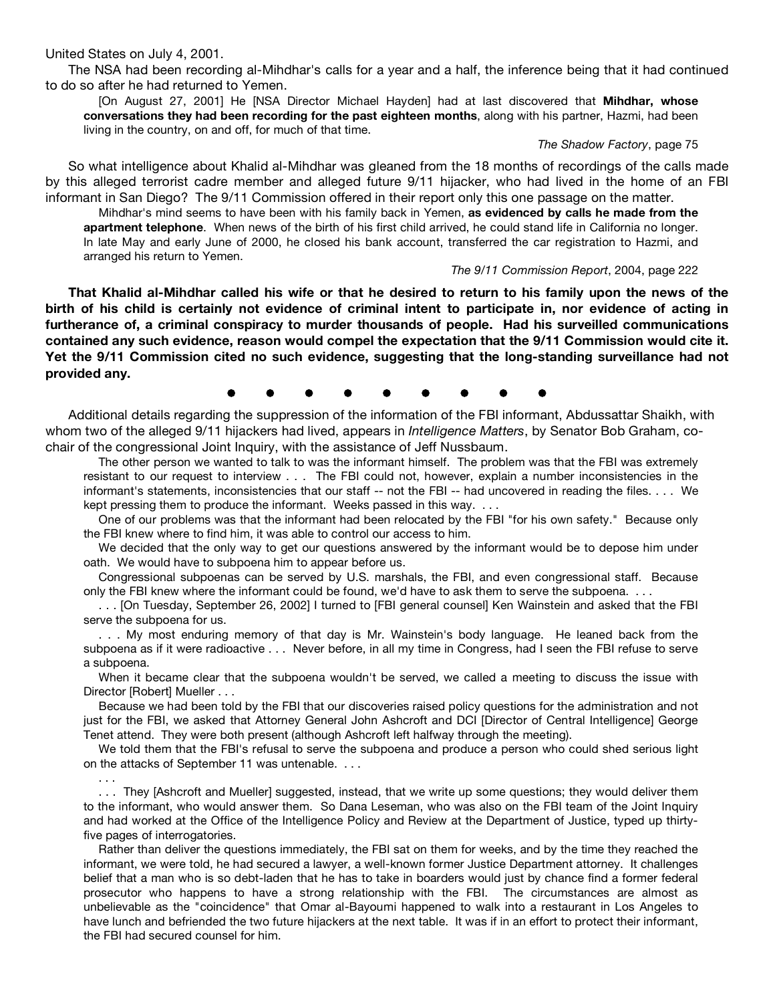United States on July 4, 2001.

The NSA had been recording al-Mihdhar's calls for a year and a half, the inference being that it had continued to do so after he had returned to Yemen.

[On August 27, 2001] He [NSA Director Michael Hayden] had at last discovered that **Mihdhar, whose conversations they had been recording for the past eighteen months**, along with his partner, Hazmi, had been living in the country, on and off, for much of that time.

#### *The Shadow Factory*, page 75

So what intelligence about Khalid al-Mihdhar was gleaned from the 18 months of recordings of the calls made by this alleged terrorist cadre member and alleged future 9/11 hijacker, who had lived in the home of an FBI informant in San Diego? The 9/11 Commission offered in their report only this one passage on the matter.

Mihdhar's mind seems to have been with his family back in Yemen, **as evidenced by calls he made from the apartment telephone**. When news of the birth of his first child arrived, he could stand life in California no longer. In late May and early June of 2000, he closed his bank account, transferred the car registration to Hazmi, and arranged his return to Yemen.

*The 9/11 Commission Report*, 2004, page 222

That Khalid al-Mihdhar called his wife or that he desired to return to his family upon the news of the birth of his child is certainly not evidence of criminal intent to participate in, nor evidence of acting in **furtherance of, a criminal conspiracy to murder thousands of people. Had his surveilled communications contained any such evidence, reason would compel the expectation that the 9/11 Commission would cite it. Yet the 9/11 Commission cited no such evidence, suggesting that the long-standing surveillance had not provided any.**

֚֚֚֚֚֚֚֚֚

Additional details regarding the suppression of the information of the FBI informant, Abdussattar Shaikh, with whom two of the alleged 9/11 hijackers had lived, appears in *Intelligence Matters*, by Senator Bob Graham, cochair of the congressional Joint Inquiry, with the assistance of Jeff Nussbaum.

The other person we wanted to talk to was the informant himself. The problem was that the FBI was extremely resistant to our request to interview . . . The FBI could not, however, explain a number inconsistencies in the informant's statements, inconsistencies that our staff -- not the FBI -- had uncovered in reading the files. . . . We kept pressing them to produce the informant. Weeks passed in this way. . . .

One of our problems was that the informant had been relocated by the FBI "for his own safety." Because only the FBI knew where to find him, it was able to control our access to him.

We decided that the only way to get our questions answered by the informant would be to depose him under oath. We would have to subpoena him to appear before us.

Congressional subpoenas can be served by U.S. marshals, the FBI, and even congressional staff. Because only the FBI knew where the informant could be found, we'd have to ask them to serve the subpoena. . . .

. . . [On Tuesday, September 26, 2002] I turned to [FBI general counsel] Ken Wainstein and asked that the FBI serve the subpoena for us.

. . . My most enduring memory of that day is Mr. Wainstein's body language. He leaned back from the subpoena as if it were radioactive . . . Never before, in all my time in Congress, had I seen the FBI refuse to serve a subpoena.

When it became clear that the subpoena wouldn't be served, we called a meeting to discuss the issue with Director [Robert] Mueller . . .

Because we had been told by the FBI that our discoveries raised policy questions for the administration and not just for the FBI, we asked that Attorney General John Ashcroft and DCI [Director of Central Intelligence] George Tenet attend. They were both present (although Ashcroft left halfway through the meeting).

We told them that the FBI's refusal to serve the subpoena and produce a person who could shed serious light on the attacks of September 11 was untenable. . . .

. . . . . . They [Ashcroft and Mueller] suggested, instead, that we write up some questions; they would deliver them to the informant, who would answer them. So Dana Leseman, who was also on the FBI team of the Joint Inquiry and had worked at the Office of the Intelligence Policy and Review at the Department of Justice, typed up thirtyfive pages of interrogatories.

Rather than deliver the questions immediately, the FBI sat on them for weeks, and by the time they reached the informant, we were told, he had secured a lawyer, a well-known former Justice Department attorney. It challenges belief that a man who is so debt-laden that he has to take in boarders would just by chance find a former federal prosecutor who happens to have a strong relationship with the FBI. The circumstances are almost as unbelievable as the "coincidence" that Omar al-Bayoumi happened to walk into a restaurant in Los Angeles to have lunch and befriended the two future hijackers at the next table. It was if in an effort to protect their informant, the FBI had secured counsel for him.